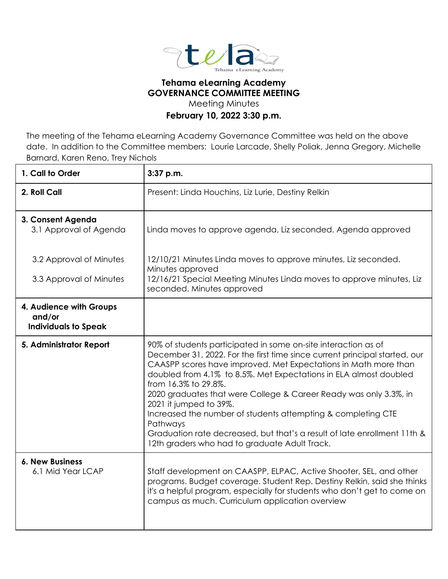

## **Tehama eLearning Academy GOVERNANCE COMMITTEE MEETING**

Meeting Minutes

## **February 10, 2022 3:30 p.m.**

The meeting of the Tehama eLearning Academy Governance Committee was held on the above date. In addition to the Committee members: Lourie Larcade, Shelly Poliak, Jenna Gregory, Michelle Barnard, Karen Reno, Trey Nichols

| 1. Call to Order                                                 | 3:37 p.m.                                                                                                                                                                                                                                                                                                                                                                                                                                                                                                                                                                                                            |
|------------------------------------------------------------------|----------------------------------------------------------------------------------------------------------------------------------------------------------------------------------------------------------------------------------------------------------------------------------------------------------------------------------------------------------------------------------------------------------------------------------------------------------------------------------------------------------------------------------------------------------------------------------------------------------------------|
| 2. Roll Call                                                     | Present: Linda Houchins, Liz Lurie, Destiny Relkin                                                                                                                                                                                                                                                                                                                                                                                                                                                                                                                                                                   |
| 3. Consent Agenda<br>3.1 Approval of Agenda                      | Linda moves to approve agenda, Liz seconded. Agenda approved                                                                                                                                                                                                                                                                                                                                                                                                                                                                                                                                                         |
| 3.2 Approval of Minutes                                          | 12/10/21 Minutes Linda moves to approve minutes, Liz seconded.<br>Minutes approved                                                                                                                                                                                                                                                                                                                                                                                                                                                                                                                                   |
| 3.3 Approval of Minutes                                          | 12/16/21 Special Meeting Minutes Linda moves to approve minutes, Liz<br>seconded. Minutes approved                                                                                                                                                                                                                                                                                                                                                                                                                                                                                                                   |
| 4. Audience with Groups<br>and/or<br><b>Individuals to Speak</b> |                                                                                                                                                                                                                                                                                                                                                                                                                                                                                                                                                                                                                      |
| 5. Administrator Report                                          | 90% of students participated in some on-site interaction as of<br>December 31, 2022. For the first time since current principal started, our<br>CAASPP scores have improved. Met Expectations in Math more than<br>doubled from 4.1% to 8.5%. Met Expectations in ELA almost doubled<br>from 16.3% to 29.8%.<br>2020 graduates that were College & Career Ready was only 3.3%, in<br>2021 it jumped to 39%.<br>Increased the number of students attempting & completing CTE<br>Pathways<br>Graduation rate decreased, but that's a result of late enrollment 11th &<br>12th graders who had to graduate Adult Track. |
| <b>6. New Business</b><br>6.1 Mid Year LCAP                      | Staff development on CAASPP, ELPAC, Active Shooter, SEL, and other<br>programs. Budget coverage. Student Rep. Destiny Relkin, said she thinks<br>it's a helpful program, especially for students who don't get to come on<br>campus as much. Curriculum application overview                                                                                                                                                                                                                                                                                                                                         |